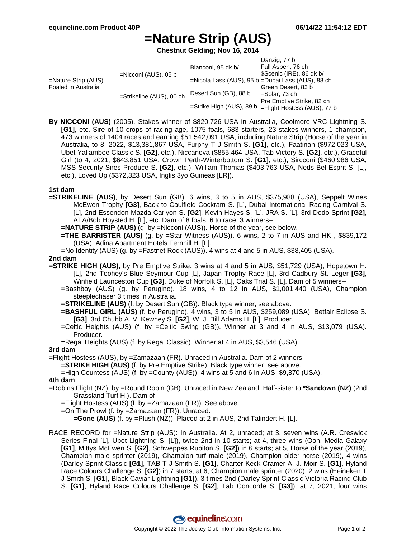Danzig, 77 b

# **=Nature Strip (AUS)**

**Chestnut Gelding; Nov 16, 2014**

|                                            |                          |                                                      | Danzig, 77 b                                      |
|--------------------------------------------|--------------------------|------------------------------------------------------|---------------------------------------------------|
| =Nature Strip (AUS)<br>Foaled in Australia | $=$ Nicconi (AUS), 05 b  | Bianconi, 95 dk b/                                   | Fall Aspen, 76 ch                                 |
|                                            |                          |                                                      | \$Scenic (IRE), 86 dk b/                          |
|                                            |                          |                                                      | =Nicola Lass (AUS), 95 b =Dubai Lass (AUS), 88 ch |
|                                            | =Strikeline (AUS), 00 ch |                                                      | Green Desert, 83 b                                |
|                                            |                          | Desert Sun (GB), 88 b                                | =Solar, 73 ch                                     |
|                                            |                          | =Strike High (AUS), 89 b =Flight Hostess (AUS), 77 b | Pre Emptive Strike, 82 ch                         |
|                                            |                          |                                                      |                                                   |
|                                            |                          |                                                      |                                                   |

**By NICCONI (AUS)** (2005). Stakes winner of \$820,726 USA in Australia, Coolmore VRC Lightning S. **[G1]**, etc. Sire of 10 crops of racing age, 1075 foals, 683 starters, 23 stakes winners, 1 champion, 473 winners of 1404 races and earning \$51,542,091 USA, including Nature Strip (Horse of the year in Australia, to 8, 2022, \$13,381,867 USA, Furphy T J Smith S. **[G1]**, etc.), Faatinah (\$972,023 USA, Ubet Yallambee Classic S. **[G2]**, etc.), Niccanova (\$855,464 USA, Tab Victory S. **[G2]**, etc.), Graceful Girl (to 4, 2021, \$643,851 USA, Crown Perth-Winterbottom S. **[G1]**, etc.), Sircconi (\$460,986 USA, MSS Security Sires Produce S. **[G2]**, etc.), William Thomas (\$403,763 USA, Neds Bel Esprit S. [L], etc.), Loved Up (\$372,323 USA, Inglis 3yo Guineas [LR]).

### **1st dam**

- **=STRIKELINE (AUS)**, by Desert Sun (GB). 6 wins, 3 to 5 in AUS, \$375,988 (USA), Seppelt Wines McEwen Trophy **[G3]**, Back to Caulfield Cockram S. [L], Dubai International Racing Carnival S. [L], 2nd Essendon Mazda Carlyon S. **[G2]**, Kevin Hayes S. [L], JRA S. [L], 3rd Dodo Sprint **[G2]**, ATA/Bob Hoysted H. [L], etc. Dam of 8 foals, 6 to race, 3 winners--
	- **=NATURE STRIP (AUS)** (g. by =Nicconi (AUS)). Horse of the year, see below.
	- **=THE BARRISTER (AUS)** (g. by =Star Witness (AUS)). 6 wins, 2 to 7 in AUS and HK , \$839,172 (USA), Adina Apartment Hotels Fernhill H. [L].
	- =No Identity (AUS) (g. by =Fastnet Rock (AUS)). 4 wins at 4 and 5 in AUS, \$38,405 (USA).

#### **2nd dam**

- **=STRIKE HIGH (AUS)**, by Pre Emptive Strike. 3 wins at 4 and 5 in AUS, \$51,729 (USA), Hopetown H. [L], 2nd Toohey's Blue Seymour Cup [L], Japan Trophy Race [L], 3rd Cadbury St. Leger **[G3]**, Winfield Launceston Cup **[G3]**, Duke of Norfolk S. [L], Oaks Trial S. [L]. Dam of 5 winners--
	- =Bashboy (AUS) (g. by Perugino). 18 wins, 4 to 12 in AUS, \$1,001,440 (USA), Champion steeplechaser 3 times in Australia.
	- **=STRIKELINE (AUS)** (f. by Desert Sun (GB)). Black type winner, see above.
	- **=BASHFUL GIRL (AUS)** (f. by Perugino). 4 wins, 3 to 5 in AUS, \$259,089 (USA), Betfair Eclipse S. **[G3]**, 3rd Chubb A. V. Kewney S. **[G2]**, W. J. Bill Adams H. [L]. Producer.
	- =Celtic Heights (AUS) (f. by =Celtic Swing (GB)). Winner at 3 and 4 in AUS, \$13,079 (USA). Producer.
	- =Regal Heights (AUS) (f. by Regal Classic). Winner at 4 in AUS, \$3,546 (USA).

### **3rd dam**

- =Flight Hostess (AUS), by =Zamazaan (FR). Unraced in Australia. Dam of 2 winners--
	- **=STRIKE HIGH (AUS)** (f. by Pre Emptive Strike). Black type winner, see above.

=High Countess (AUS) (f. by =County (AUS)). 4 wins at 5 and 6 in AUS, \$9,870 (USA).

#### **4th dam**

- =Robins Flight (NZ), by =Round Robin (GB). Unraced in New Zealand. Half-sister to **\*Sandown (NZ)** (2nd Grassland Turf H.). Dam of--
	- =Flight Hostess (AUS) (f. by =Zamazaan (FR)). See above.
	- =On The Prowl (f. by =Zamazaan (FR)). Unraced.
		- **=Gone (AUS)** (f. by =Plush (NZ)). Placed at 2 in AUS, 2nd Talindert H. [L].
- RACE RECORD for =Nature Strip (AUS): In Australia. At 2, unraced; at 3, seven wins (A.R. Creswick Series Final [L], Ubet Lightning S. [L]), twice 2nd in 10 starts; at 4, three wins (Ooh! Media Galaxy **[G1]**, Mittys McEwen S. **[G2]**, Schweppes Rubiton S. **[G2]**) in 6 starts; at 5, Horse of the year (2019), Champion male sprinter (2019), Champion turf male (2019), Champion older horse (2019), 4 wins (Darley Sprint Classic **[G1]**, TAB T J Smith S. **[G1]**, Charter Keck Cramer A. J. Moir S. **[G1]**, Hyland Race Colours Challenge S. **[G2]**) in 7 starts; at 6, Champion male sprinter (2020), 2 wins (Heineken T J Smith S. **[G1]**, Black Caviar Lightning **[G1]**), 3 times 2nd (Darley Sprint Classic Victoria Racing Club S. **[G1]**, Hyland Race Colours Challenge S. **[G2]**, Tab Concorde S. **[G3]**); at 7, 2021, four wins